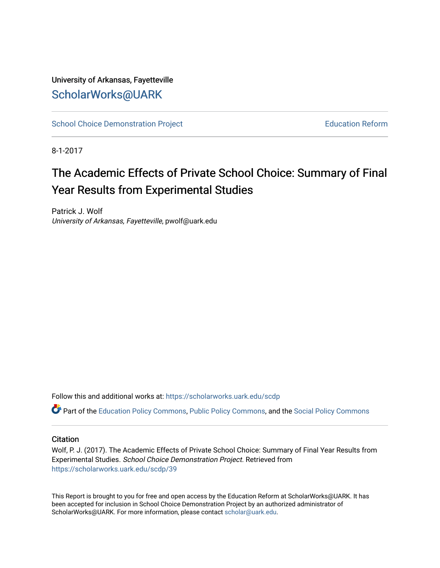### University of Arkansas, Fayetteville [ScholarWorks@UARK](https://scholarworks.uark.edu/)

[School Choice Demonstration Project](https://scholarworks.uark.edu/scdp) **Education Reform** Education Reform

8-1-2017

## The Academic Effects of Private School Choice: Summary of Final Year Results from Experimental Studies

Patrick J. Wolf University of Arkansas, Fayetteville, pwolf@uark.edu

Follow this and additional works at: [https://scholarworks.uark.edu/scdp](https://scholarworks.uark.edu/scdp?utm_source=scholarworks.uark.edu%2Fscdp%2F39&utm_medium=PDF&utm_campaign=PDFCoverPages) 

Part of the [Education Policy Commons](http://network.bepress.com/hgg/discipline/1026?utm_source=scholarworks.uark.edu%2Fscdp%2F39&utm_medium=PDF&utm_campaign=PDFCoverPages), [Public Policy Commons](http://network.bepress.com/hgg/discipline/400?utm_source=scholarworks.uark.edu%2Fscdp%2F39&utm_medium=PDF&utm_campaign=PDFCoverPages), and the [Social Policy Commons](http://network.bepress.com/hgg/discipline/1030?utm_source=scholarworks.uark.edu%2Fscdp%2F39&utm_medium=PDF&utm_campaign=PDFCoverPages)

#### **Citation**

Wolf, P. J. (2017). The Academic Effects of Private School Choice: Summary of Final Year Results from Experimental Studies. School Choice Demonstration Project. Retrieved from [https://scholarworks.uark.edu/scdp/39](https://scholarworks.uark.edu/scdp/39?utm_source=scholarworks.uark.edu%2Fscdp%2F39&utm_medium=PDF&utm_campaign=PDFCoverPages)

This Report is brought to you for free and open access by the Education Reform at ScholarWorks@UARK. It has been accepted for inclusion in School Choice Demonstration Project by an authorized administrator of ScholarWorks@UARK. For more information, please contact [scholar@uark.edu](mailto:scholar@uark.edu).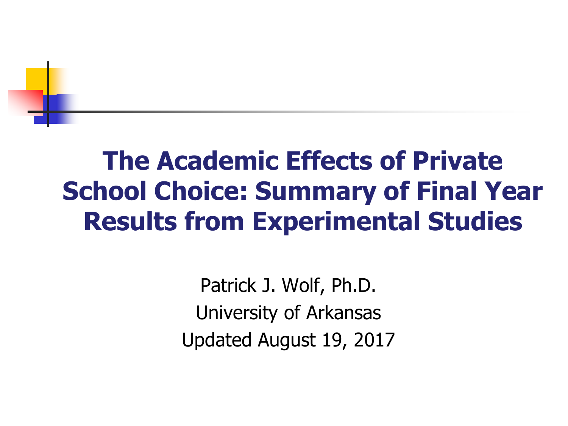# **The Academic Effects of Private School Choice: Summary of Final Year Results from Experimental Studies**

Patrick J. Wolf, Ph.D. University of Arkansas Updated August 19, 2017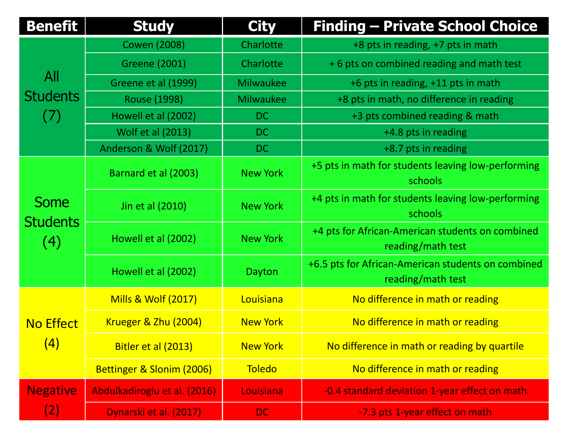| <b>Benefit</b>                        | <b>Study</b>                   | <b>City</b>      | <b>Finding - Private School Choice</b>                                  |
|---------------------------------------|--------------------------------|------------------|-------------------------------------------------------------------------|
| All<br><b>Students</b><br>(7)         | <b>Cowen (2008)</b>            | Charlotte        | +8 pts in reading, +7 pts in math                                       |
|                                       | <b>Greene (2001)</b>           | Charlotte        | +6 pts on combined reading and math test                                |
|                                       | Greene et al (1999)            | <b>Milwaukee</b> | +6 pts in reading, +11 pts in math                                      |
|                                       | <b>Rouse (1998)</b>            | Milwaukee        | +8 pts in math, no difference in reading                                |
|                                       | Howell et al (2002)            | <b>DC</b>        | +3 pts combined reading & math                                          |
|                                       | Wolf et al (2013)              | <b>DC</b>        | +4.8 pts in reading                                                     |
|                                       | Anderson & Wolf (2017)         | <b>DC</b>        | +8.7 pts in reading                                                     |
| <b>Some</b><br><b>Students</b><br>(4) | Barnard et al (2003)           | <b>New York</b>  | +5 pts in math for students leaving low-performing<br>schools           |
|                                       | Jin et al (2010)               | <b>New York</b>  | +4 pts in math for students leaving low-performing<br>schools           |
|                                       | Howell et al (2002)            | <b>New York</b>  | +4 pts for African-American students on combined<br>reading/math test   |
|                                       | Howell et al (2002)            | Dayton           | +6.5 pts for African-American students on combined<br>reading/math test |
| <b>No Effect</b><br>(4)               | <b>Mills &amp; Wolf (2017)</b> | Louisiana        | No difference in math or reading                                        |
|                                       | Krueger & Zhu (2004)           | <b>New York</b>  | No difference in math or reading                                        |
|                                       | Bitler et al (2013)            | <b>New York</b>  | No difference in math or reading by quartile                            |
|                                       | Bettinger & Slonim (2006)      | <b>Toledo</b>    | No difference in math or reading                                        |
| <b>Negative</b><br>(2)                | Abdulkadiroglu et al. (2016)   | Louisiana        | -0.4 standard deviation 1-year effect on math                           |
|                                       | Dynarski et al. (2017)         | <b>DC</b>        | -7.3 pts 1-year effect on math                                          |